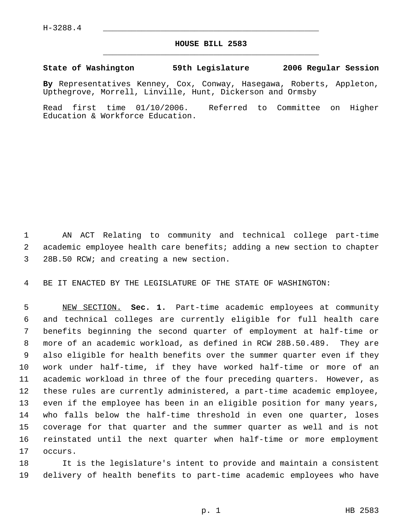## **HOUSE BILL 2583** \_\_\_\_\_\_\_\_\_\_\_\_\_\_\_\_\_\_\_\_\_\_\_\_\_\_\_\_\_\_\_\_\_\_\_\_\_\_\_\_\_\_\_\_\_

**State of Washington 59th Legislature 2006 Regular Session**

**By** Representatives Kenney, Cox, Conway, Hasegawa, Roberts, Appleton, Upthegrove, Morrell, Linville, Hunt, Dickerson and Ormsby

Read first time 01/10/2006. Referred to Committee on Higher Education & Workforce Education.

 AN ACT Relating to community and technical college part-time academic employee health care benefits; adding a new section to chapter 28B.50 RCW; and creating a new section.

BE IT ENACTED BY THE LEGISLATURE OF THE STATE OF WASHINGTON:

 NEW SECTION. **Sec. 1.** Part-time academic employees at community and technical colleges are currently eligible for full health care benefits beginning the second quarter of employment at half-time or more of an academic workload, as defined in RCW 28B.50.489. They are also eligible for health benefits over the summer quarter even if they work under half-time, if they have worked half-time or more of an academic workload in three of the four preceding quarters. However, as these rules are currently administered, a part-time academic employee, even if the employee has been in an eligible position for many years, who falls below the half-time threshold in even one quarter, loses coverage for that quarter and the summer quarter as well and is not reinstated until the next quarter when half-time or more employment occurs.

 It is the legislature's intent to provide and maintain a consistent delivery of health benefits to part-time academic employees who have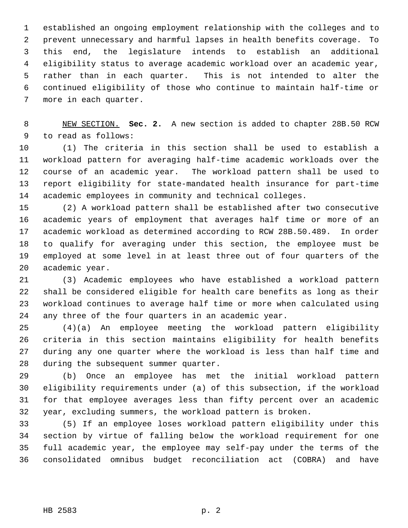established an ongoing employment relationship with the colleges and to prevent unnecessary and harmful lapses in health benefits coverage. To this end, the legislature intends to establish an additional eligibility status to average academic workload over an academic year, rather than in each quarter. This is not intended to alter the continued eligibility of those who continue to maintain half-time or more in each quarter.

 NEW SECTION. **Sec. 2.** A new section is added to chapter 28B.50 RCW to read as follows:

 (1) The criteria in this section shall be used to establish a workload pattern for averaging half-time academic workloads over the course of an academic year. The workload pattern shall be used to report eligibility for state-mandated health insurance for part-time academic employees in community and technical colleges.

 (2) A workload pattern shall be established after two consecutive academic years of employment that averages half time or more of an academic workload as determined according to RCW 28B.50.489. In order to qualify for averaging under this section, the employee must be employed at some level in at least three out of four quarters of the academic year.

 (3) Academic employees who have established a workload pattern shall be considered eligible for health care benefits as long as their workload continues to average half time or more when calculated using any three of the four quarters in an academic year.

 (4)(a) An employee meeting the workload pattern eligibility criteria in this section maintains eligibility for health benefits during any one quarter where the workload is less than half time and during the subsequent summer quarter.

 (b) Once an employee has met the initial workload pattern eligibility requirements under (a) of this subsection, if the workload for that employee averages less than fifty percent over an academic year, excluding summers, the workload pattern is broken.

 (5) If an employee loses workload pattern eligibility under this section by virtue of falling below the workload requirement for one full academic year, the employee may self-pay under the terms of the consolidated omnibus budget reconciliation act (COBRA) and have